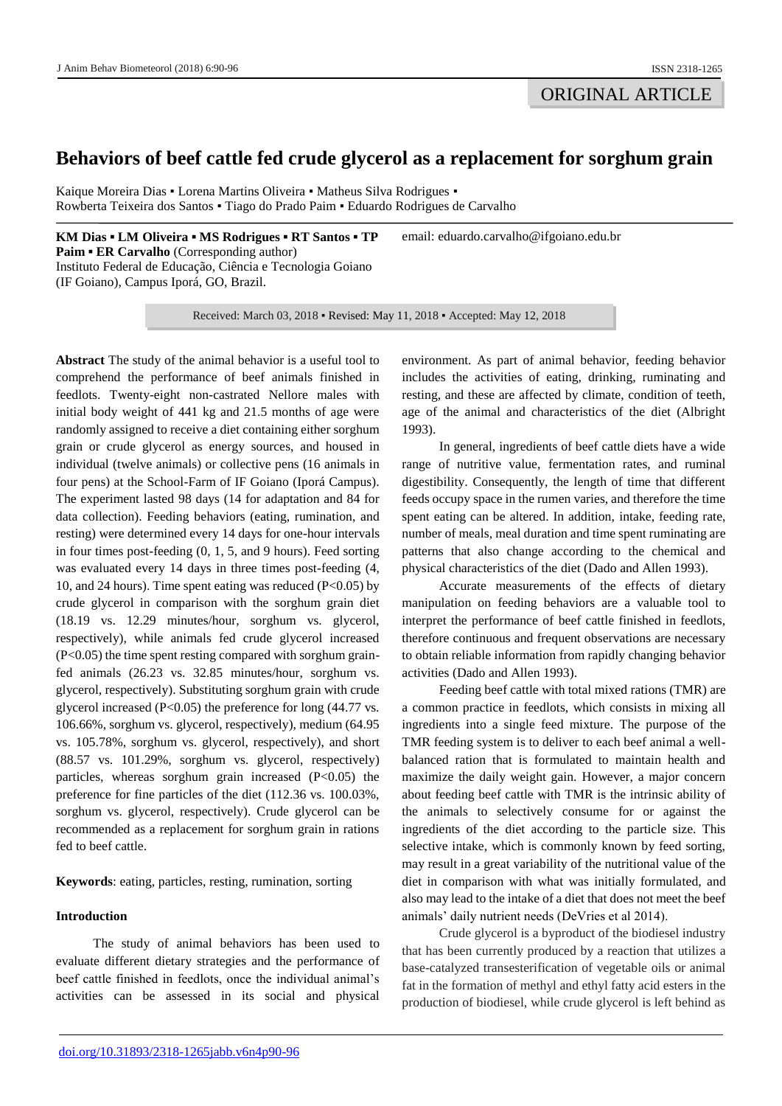# **Behaviors of beef cattle fed crude glycerol as a replacement for sorghum grain**

Kaique Moreira Dias • Lorena Martins Oliveira • Matheus Silva Rodrigues • Rowberta Teixeira dos Santos ▪ Tiago do Prado Paim ▪ Eduardo Rodrigues de Carvalho

**KM Dias ▪ LM Oliveira ▪ MS Rodrigues ▪ RT Santos ▪ TP Paim ▪ ER Carvalho** (Corresponding author) Instituto Federal de Educação, Ciência e Tecnologia Goiano (IF Goiano), Campus Iporá, GO, Brazil.

Received: March 03, 2018 ▪ Revised: May 11, 2018 ▪ Accepted: May 12, 2018

**Abstract** The study of the animal behavior is a useful tool to comprehend the performance of beef animals finished in feedlots. Twenty-eight non-castrated Nellore males with initial body weight of 441 kg and 21.5 months of age were randomly assigned to receive a diet containing either sorghum grain or crude glycerol as energy sources, and housed in individual (twelve animals) or collective pens (16 animals in four pens) at the School-Farm of IF Goiano (Iporá Campus). The experiment lasted 98 days (14 for adaptation and 84 for data collection). Feeding behaviors (eating, rumination, and resting) were determined every 14 days for one-hour intervals in four times post-feeding (0, 1, 5, and 9 hours). Feed sorting was evaluated every 14 days in three times post-feeding (4, 10, and 24 hours). Time spent eating was reduced (P<0.05) by crude glycerol in comparison with the sorghum grain diet (18.19 vs. 12.29 minutes/hour, sorghum vs. glycerol, respectively), while animals fed crude glycerol increased (P<0.05) the time spent resting compared with sorghum grainfed animals (26.23 vs. 32.85 minutes/hour, sorghum vs. glycerol, respectively). Substituting sorghum grain with crude glycerol increased  $(P<0.05)$  the preference for long  $(44.77 \text{ vs.})$ 106.66%, sorghum vs. glycerol, respectively), medium (64.95 vs. 105.78%, sorghum vs. glycerol, respectively), and short (88.57 vs. 101.29%, sorghum vs. glycerol, respectively) particles, whereas sorghum grain increased  $(P<0.05)$  the preference for fine particles of the diet (112.36 vs. 100.03%, sorghum vs. glycerol, respectively). Crude glycerol can be recommended as a replacement for sorghum grain in rations fed to beef cattle.

**Keywords**: eating, particles, resting, rumination, sorting

# **Introduction**

The study of animal behaviors has been used to evaluate different dietary strategies and the performance of beef cattle finished in feedlots, once the individual animal's activities can be assessed in its social and physical

environment. As part of animal behavior, feeding behavior includes the activities of eating, drinking, ruminating and resting, and these are affected by climate, condition of teeth, age of the animal and characteristics of the diet (Albright 1993).

email: eduardo.carvalho@ifgoiano.edu.br

In general, ingredients of beef cattle diets have a wide range of nutritive value, fermentation rates, and ruminal digestibility. Consequently, the length of time that different feeds occupy space in the rumen varies, and therefore the time spent eating can be altered. In addition, intake, feeding rate, number of meals, meal duration and time spent ruminating are patterns that also change according to the chemical and physical characteristics of the diet (Dado and Allen 1993).

Accurate measurements of the effects of dietary manipulation on feeding behaviors are a valuable tool to interpret the performance of beef cattle finished in feedlots, therefore continuous and frequent observations are necessary to obtain reliable information from rapidly changing behavior activities (Dado and Allen 1993).

Feeding beef cattle with total mixed rations (TMR) are a common practice in feedlots, which consists in mixing all ingredients into a single feed mixture. The purpose of the TMR feeding system is to deliver to each beef animal a wellbalanced ration that is formulated to maintain health and maximize the daily weight gain. However, a major concern about feeding beef cattle with TMR is the intrinsic ability of the animals to selectively consume for or against the ingredients of the diet according to the particle size. This selective intake, which is commonly known by feed sorting, may result in a great variability of the nutritional value of the diet in comparison with what was initially formulated, and also may lead to the intake of a diet that does not meet the beef animals' daily nutrient needs (DeVries et al 2014).

Crude glycerol is a byproduct of the biodiesel industry that has been currently produced by a reaction that utilizes a base-catalyzed transesterification of vegetable oils or animal fat in the formation of methyl and ethyl fatty acid esters in the production of biodiesel, while crude glycerol is left behind as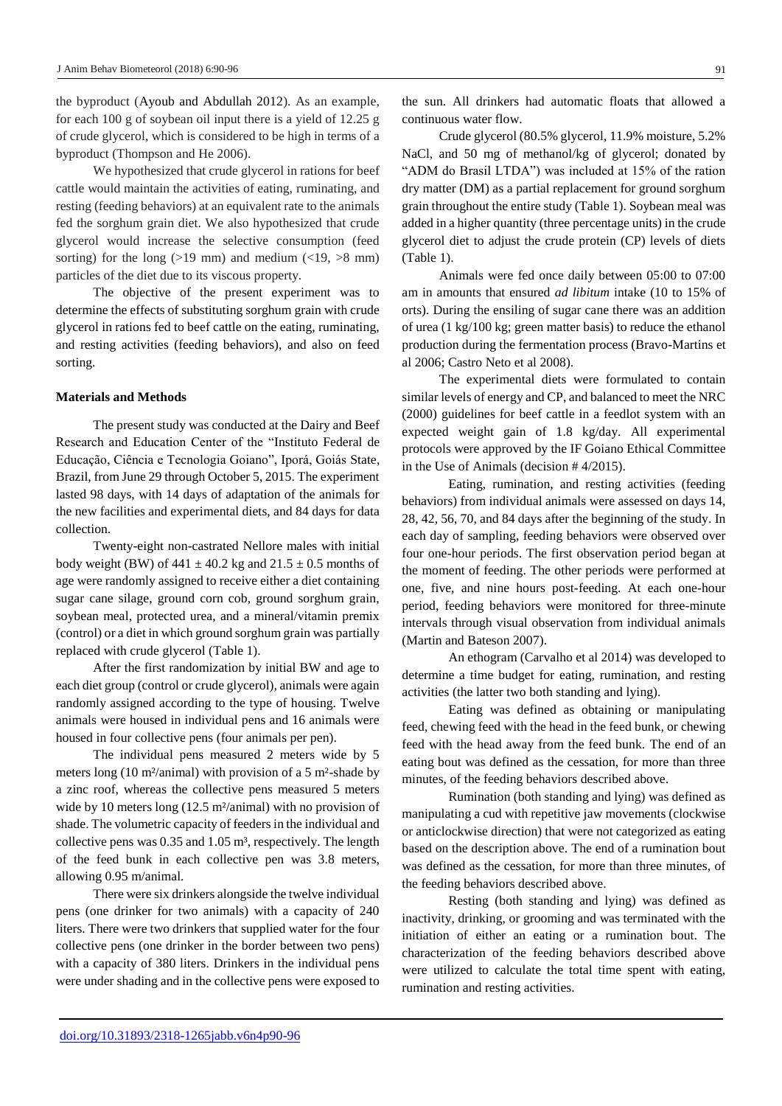the byproduct (Ayoub and Abdullah 2012). As an example, for each 100 g of soybean oil input there is a yield of 12.25 g of crude glycerol, which is considered to be high in terms of a byproduct (Thompson and He 2006).

We hypothesized that crude glycerol in rations for beef cattle would maintain the activities of eating, ruminating, and resting (feeding behaviors) at an equivalent rate to the animals fed the sorghum grain diet. We also hypothesized that crude glycerol would increase the selective consumption (feed sorting) for the long ( $>19$  mm) and medium ( $<19$ ,  $>8$  mm) particles of the diet due to its viscous property.

The objective of the present experiment was to determine the effects of substituting sorghum grain with crude glycerol in rations fed to beef cattle on the eating, ruminating, and resting activities (feeding behaviors), and also on feed sorting.

## **Materials and Methods**

The present study was conducted at the Dairy and Beef Research and Education Center of the "Instituto Federal de Educação, Ciência e Tecnologia Goiano", Iporá, Goiás State, Brazil, from June 29 through October 5, 2015. The experiment lasted 98 days, with 14 days of adaptation of the animals for the new facilities and experimental diets, and 84 days for data collection.

Twenty-eight non-castrated Nellore males with initial body weight (BW) of  $441 \pm 40.2$  kg and  $21.5 \pm 0.5$  months of age were randomly assigned to receive either a diet containing sugar cane silage, ground corn cob, ground sorghum grain, soybean meal, protected urea, and a mineral/vitamin premix (control) or a diet in which ground sorghum grain was partially replaced with crude glycerol (Table 1).

After the first randomization by initial BW and age to each diet group (control or crude glycerol), animals were again randomly assigned according to the type of housing. Twelve animals were housed in individual pens and 16 animals were housed in four collective pens (four animals per pen).

The individual pens measured 2 meters wide by 5 meters long (10 m²/animal) with provision of a 5 m²-shade by a zinc roof, whereas the collective pens measured 5 meters wide by 10 meters long (12.5 m<sup>2</sup>/animal) with no provision of shade. The volumetric capacity of feeders in the individual and collective pens was  $0.35$  and  $1.05$  m<sup>3</sup>, respectively. The length of the feed bunk in each collective pen was 3.8 meters, allowing 0.95 m/animal.

There were six drinkers alongside the twelve individual pens (one drinker for two animals) with a capacity of 240 liters. There were two drinkers that supplied water for the four collective pens (one drinker in the border between two pens) with a capacity of 380 liters. Drinkers in the individual pens were under shading and in the collective pens were exposed to

the sun. All drinkers had automatic floats that allowed a continuous water flow.

Crude glycerol (80.5% glycerol, 11.9% moisture, 5.2% NaCl, and 50 mg of methanol/kg of glycerol; donated by "ADM do Brasil LTDA") was included at 15% of the ration dry matter (DM) as a partial replacement for ground sorghum grain throughout the entire study (Table 1). Soybean meal was added in a higher quantity (three percentage units) in the crude glycerol diet to adjust the crude protein (CP) levels of diets (Table 1).

Animals were fed once daily between 05:00 to 07:00 am in amounts that ensured *ad libitum* intake (10 to 15% of orts). During the ensiling of sugar cane there was an addition of urea (1 kg/100 kg; green matter basis) to reduce the ethanol production during the fermentation process (Bravo-Martins et al 2006; Castro Neto et al 2008).

The experimental diets were formulated to contain similar levels of energy and CP, and balanced to meet the NRC (2000) guidelines for beef cattle in a feedlot system with an expected weight gain of 1.8 kg/day. All experimental protocols were approved by the IF Goiano Ethical Committee in the Use of Animals (decision # 4/2015).

Eating, rumination, and resting activities (feeding behaviors) from individual animals were assessed on days 14, 28, 42, 56, 70, and 84 days after the beginning of the study. In each day of sampling, feeding behaviors were observed over four one-hour periods. The first observation period began at the moment of feeding. The other periods were performed at one, five, and nine hours post-feeding. At each one-hour period, feeding behaviors were monitored for three-minute intervals through visual observation from individual animals (Martin and Bateson 2007).

An ethogram (Carvalho et al 2014) was developed to determine a time budget for eating, rumination, and resting activities (the latter two both standing and lying).

Eating was defined as obtaining or manipulating feed, chewing feed with the head in the feed bunk, or chewing feed with the head away from the feed bunk. The end of an eating bout was defined as the cessation, for more than three minutes, of the feeding behaviors described above.

Rumination (both standing and lying) was defined as manipulating a cud with repetitive jaw movements (clockwise or anticlockwise direction) that were not categorized as eating based on the description above. The end of a rumination bout was defined as the cessation, for more than three minutes, of the feeding behaviors described above.

Resting (both standing and lying) was defined as inactivity, drinking, or grooming and was terminated with the initiation of either an eating or a rumination bout. The characterization of the feeding behaviors described above were utilized to calculate the total time spent with eating, rumination and resting activities.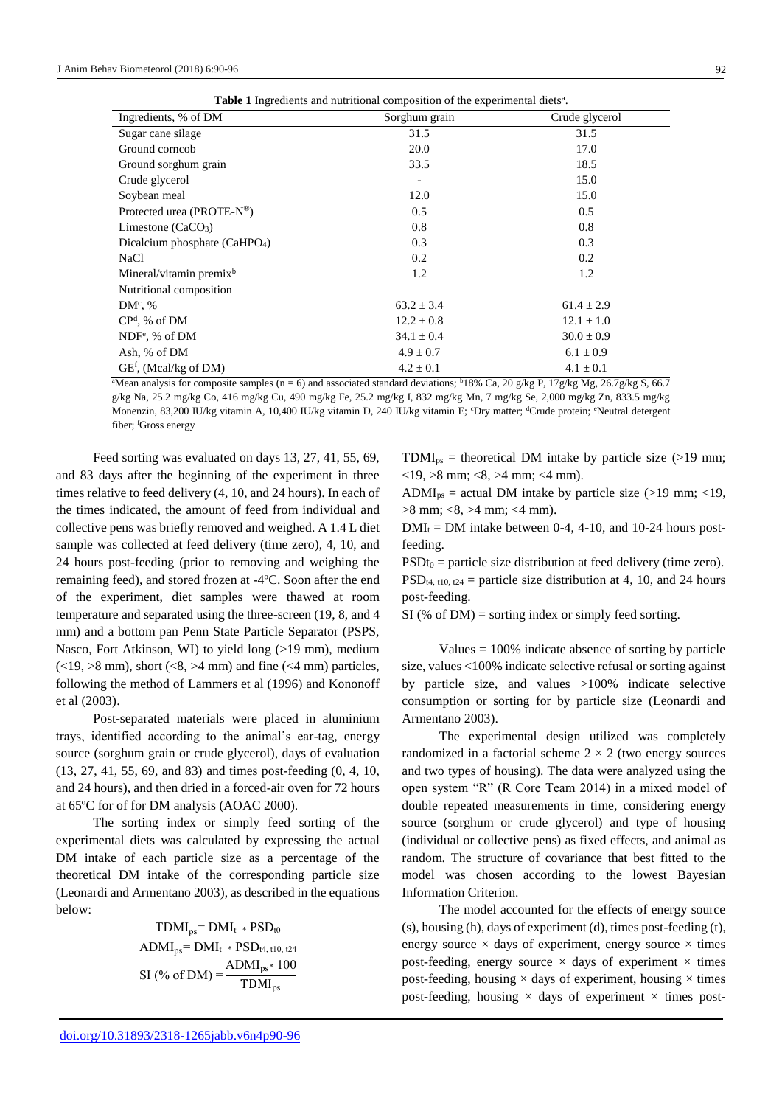| <b>Table 1</b> Ingredients and nutritional composition of the experimental diets <sup>a</sup> . |  |  |  |
|-------------------------------------------------------------------------------------------------|--|--|--|
|-------------------------------------------------------------------------------------------------|--|--|--|

| Ingredients, % of DM                      | Sorghum grain  | Crude glycerol |  |  |
|-------------------------------------------|----------------|----------------|--|--|
| Sugar cane silage                         | 31.5           | 31.5           |  |  |
| Ground corneob                            | 20.0           | 17.0           |  |  |
| Ground sorghum grain                      | 33.5           | 18.5           |  |  |
| Crude glycerol                            |                | 15.0           |  |  |
| Soybean meal                              | 12.0           | 15.0           |  |  |
| Protected urea (PROTE-N®)                 | 0.5            | 0.5            |  |  |
| Limestone (CaCO <sub>3</sub> )            | 0.8            | 0.8            |  |  |
| Dicalcium phosphate (CaHPO <sub>4</sub> ) | 0.3            | 0.3            |  |  |
| <b>NaCl</b>                               | 0.2            | 0.2            |  |  |
| Mineral/vitamin premix <sup>b</sup>       | 1.2            | 1.2            |  |  |
| Nutritional composition                   |                |                |  |  |
| $DMc$ , %                                 | $63.2 \pm 3.4$ | $61.4 \pm 2.9$ |  |  |
| $CPd$ , % of DM                           | $12.2 \pm 0.8$ | $12.1 \pm 1.0$ |  |  |
| $NDFe$ , % of DM                          | $34.1 \pm 0.4$ | $30.0 \pm 0.9$ |  |  |
| Ash, % of DM                              | $4.9 \pm 0.7$  | $6.1 \pm 0.9$  |  |  |
| $GEf$ , (Mcal/kg of DM)                   | $4.2 \pm 0.1$  | $4.1 \pm 0.1$  |  |  |
|                                           |                |                |  |  |

<sup>a</sup>Mean analysis for composite samples (n = 6) and associated standard deviations; <sup>b</sup>18% Ca, 20 g/kg P, 17g/kg Mg, 26.7g/kg S, 66.7 g/kg Na, 25.2 mg/kg Co, 416 mg/kg Cu, 490 mg/kg Fe, 25.2 mg/kg I, 832 mg/kg Mn, 7 mg/kg Se, 2,000 mg/kg Zn, 833.5 mg/kg Monenzin, 83,200 IU/kg vitamin A, 10,400 IU/kg vitamin D, 240 IU/kg vitamin E; 'Dry matter; <sup>d</sup>Crude protein; 'Neutral detergent fiber; <sup>f</sup>Gross energy

Feed sorting was evaluated on days 13, 27, 41, 55, 69, and 83 days after the beginning of the experiment in three times relative to feed delivery (4, 10, and 24 hours). In each of the times indicated, the amount of feed from individual and collective pens was briefly removed and weighed. A 1.4 L diet sample was collected at feed delivery (time zero), 4, 10, and 24 hours post-feeding (prior to removing and weighing the remaining feed), and stored frozen at -4ºC. Soon after the end of the experiment, diet samples were thawed at room temperature and separated using the three-screen (19, 8, and 4 mm) and a bottom pan Penn State Particle Separator (PSPS, Nasco, Fort Atkinson, WI) to yield long (>19 mm), medium  $(<19, >8$  mm), short  $(<8, >4$  mm) and fine  $(<4$  mm) particles, following the method of Lammers et al (1996) and Kononoff et al (2003).

Post-separated materials were placed in aluminium trays, identified according to the animal's ear-tag, energy source (sorghum grain or crude glycerol), days of evaluation (13, 27, 41, 55, 69, and 83) and times post-feeding (0, 4, 10, and 24 hours), and then dried in a forced-air oven for 72 hours at 65ºC for of for DM analysis (AOAC 2000).

The sorting index or simply feed sorting of the experimental diets was calculated by expressing the actual DM intake of each particle size as a percentage of the theoretical DM intake of the corresponding particle size (Leonardi and Armentano 2003), as described in the equations below:

> $TDMI_{ps} = DMI_t * PSD_{t0}$  $ADMI_{ps} = DMI_t * PSD_{t4, t10, t24}$ SI (% of DM) =  $\frac{\text{ADMI}_{\text{ps}} \cdot 100}{\text{TDMI}}$ TDMIps

 $TDMI_{ps}$  = theoretical DM intake by particle size (>19 mm;  $<$ 19, >8 mm;  $<$ 8, >4 mm;  $<$ 4 mm).

ADMI<sub>ps</sub> = actual DM intake by particle size (>19 mm; <19,  $>8$  mm; <8,  $>4$  mm; <4 mm).

 $DMI_t = DM$  intake between 0-4, 4-10, and 10-24 hours postfeeding.

 $PSDt_0 =$  particle size distribution at feed delivery (time zero).  $PSD_{t4, t10, t24}$  = particle size distribution at 4, 10, and 24 hours post-feeding.

 $SI$  (% of DM) = sorting index or simply feed sorting.

Values  $= 100\%$  indicate absence of sorting by particle size, values <100% indicate selective refusal or sorting against by particle size, and values >100% indicate selective consumption or sorting for by particle size (Leonardi and Armentano 2003).

The experimental design utilized was completely randomized in a factorial scheme  $2 \times 2$  (two energy sources and two types of housing). The data were analyzed using the open system "R" (R Core Team 2014) in a mixed model of double repeated measurements in time, considering energy source (sorghum or crude glycerol) and type of housing (individual or collective pens) as fixed effects, and animal as random. The structure of covariance that best fitted to the model was chosen according to the lowest Bayesian Information Criterion.

The model accounted for the effects of energy source (s), housing (h), days of experiment (d), times post-feeding (t), energy source  $\times$  days of experiment, energy source  $\times$  times post-feeding, energy source  $\times$  days of experiment  $\times$  times post-feeding, housing  $\times$  days of experiment, housing  $\times$  times post-feeding, housing  $\times$  days of experiment  $\times$  times post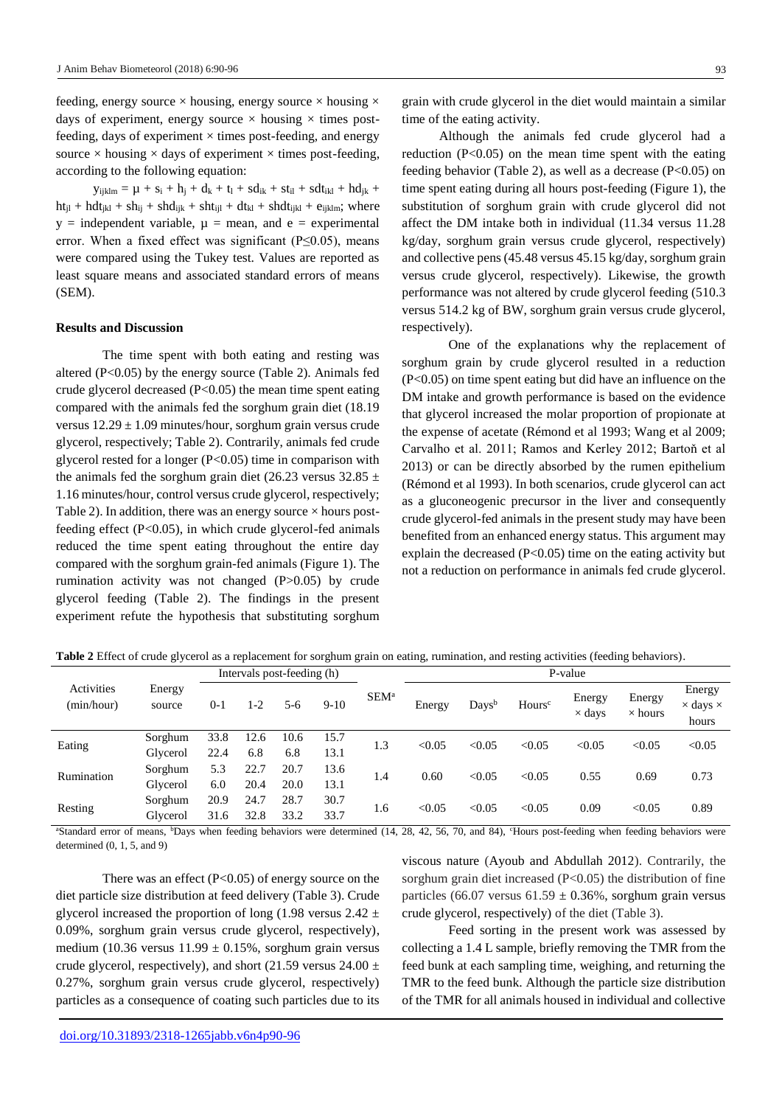feeding, energy source  $\times$  housing, energy source  $\times$  housing  $\times$ days of experiment, energy source  $\times$  housing  $\times$  times postfeeding, days of experiment  $\times$  times post-feeding, and energy source  $\times$  housing  $\times$  days of experiment  $\times$  times post-feeding, according to the following equation:

 $y_{ijklm} = \mu + s_i + h_j + d_k + t_l + s d_{ik} + s t_{il} + s dt_{ikl} + h d_{jk} +$  $ht_{jl} + hdt_{jkl} + sh_{ij} + shd_{ijk} + sht_{ijl} + dt_{kl} + shdt_{ijkl} + e_{ijklm}$ ; where  $y =$  independent variable,  $\mu =$  mean, and e = experimental error. When a fixed effect was significant ( $P \le 0.05$ ), means were compared using the Tukey test. Values are reported as least square means and associated standard errors of means (SEM).

### **Results and Discussion**

The time spent with both eating and resting was altered (P<0.05) by the energy source (Table 2). Animals fed crude glycerol decreased  $(P<0.05)$  the mean time spent eating compared with the animals fed the sorghum grain diet (18.19 versus  $12.29 \pm 1.09$  minutes/hour, sorghum grain versus crude glycerol, respectively; Table 2). Contrarily, animals fed crude glycerol rested for a longer (P<0.05) time in comparison with the animals fed the sorghum grain diet (26.23 versus 32.85  $\pm$ 1.16 minutes/hour, control versus crude glycerol, respectively; Table 2). In addition, there was an energy source  $\times$  hours postfeeding effect  $(P<0.05)$ , in which crude glycerol-fed animals reduced the time spent eating throughout the entire day compared with the sorghum grain-fed animals (Figure 1). The rumination activity was not changed (P>0.05) by crude glycerol feeding (Table 2). The findings in the present experiment refute the hypothesis that substituting sorghum

grain with crude glycerol in the diet would maintain a similar time of the eating activity.

Although the animals fed crude glycerol had a reduction  $(P<0.05)$  on the mean time spent with the eating feeding behavior (Table 2), as well as a decrease (P<0.05) on time spent eating during all hours post-feeding (Figure 1), the substitution of sorghum grain with crude glycerol did not affect the DM intake both in individual (11.34 versus 11.28 kg/day, sorghum grain versus crude glycerol, respectively) and collective pens (45.48 versus 45.15 kg/day, sorghum grain versus crude glycerol, respectively). Likewise, the growth performance was not altered by crude glycerol feeding (510.3 versus 514.2 kg of BW, sorghum grain versus crude glycerol, respectively).

One of the explanations why the replacement of sorghum grain by crude glycerol resulted in a reduction (P<0.05) on time spent eating but did have an influence on the DM intake and growth performance is based on the evidence that glycerol increased the molar proportion of propionate at the expense of acetate (Rémond et al 1993; Wang et al 2009; Carvalho et al. 2011; Ramos and Kerley 2012; Bartoň et al 2013) or can be directly absorbed by the rumen epithelium (Rémond et al 1993). In both scenarios, crude glycerol can act as a gluconeogenic precursor in the liver and consequently crude glycerol-fed animals in the present study may have been benefited from an enhanced energy status. This argument may explain the decreased  $(P<0.05)$  time on the eating activity but not a reduction on performance in animals fed crude glycerol.

**Table 2** Effect of crude glycerol as a replacement for sorghum grain on eating, rumination, and resting activities (feeding behaviors).

|                          | Intervals post-feeding (h) |         |         |       | P-value |                  |        |               |                    |                         |                          |                                           |
|--------------------------|----------------------------|---------|---------|-------|---------|------------------|--------|---------------|--------------------|-------------------------|--------------------------|-------------------------------------------|
| Activities<br>(min/hour) | Energy<br>source           | $0 - 1$ | $1 - 2$ | $5-6$ | $9-10$  | SEM <sup>a</sup> | Energy | $_{\rm Days}$ | Hours <sup>c</sup> | Energy<br>$\times$ days | Energy<br>$\times$ hours | Energy<br>$\times$ days $\times$<br>hours |
| Eating                   | Sorghum                    | 33.8    | 12.6    | 10.6  | 15.7    | 1.3              | < 0.05 | < 0.05        | < 0.05             | < 0.05                  | < 0.05                   | < 0.05                                    |
|                          | Glycerol                   | 22.4    | 6.8     | 6.8   | 13.1    |                  |        |               |                    |                         |                          |                                           |
| Rumination               | Sorghum                    | 5.3     | 22.7    | 20.7  | 13.6    | 1.4              | 0.60   | < 0.05        | < 0.05             | 0.55                    | 0.69                     | 0.73                                      |
|                          | Glycerol                   | 6.0     | 20.4    | 20.0  | 13.1    |                  |        |               |                    |                         |                          |                                           |
| Resting                  | Sorghum                    | 20.9    | 24.7    | 28.7  | 30.7    |                  | < 0.05 | < 0.05        | < 0.05             | 0.09                    | < 0.05                   | 0.89                                      |
|                          | Glycerol                   | 31.6    | 32.8    | 33.2  | 33.7    | 1.6              |        |               |                    |                         |                          |                                           |

<sup>a</sup>Standard error of means, <sup>b</sup>Days when feeding behaviors were determined (14, 28, 42, 56, 70, and 84), <sup>c</sup>Hours post-feeding when feeding behaviors were determined  $(0, 1, 5, \text{ and } 9)$ 

There was an effect  $(P<0.05)$  of energy source on the diet particle size distribution at feed delivery (Table 3). Crude glycerol increased the proportion of long (1.98 versus  $2.42 \pm$ 0.09%, sorghum grain versus crude glycerol, respectively), medium (10.36 versus  $11.99 \pm 0.15$ %, sorghum grain versus crude glycerol, respectively), and short (21.59 versus  $24.00 \pm$ 0.27%, sorghum grain versus crude glycerol, respectively) particles as a consequence of coating such particles due to its viscous nature (Ayoub and Abdullah 2012). Contrarily, the sorghum grain diet increased (P<0.05) the distribution of fine particles (66.07 versus  $61.59 \pm 0.36$ %, sorghum grain versus crude glycerol, respectively) of the diet (Table 3).

Feed sorting in the present work was assessed by collecting a 1.4 L sample, briefly removing the TMR from the feed bunk at each sampling time, weighing, and returning the TMR to the feed bunk. Although the particle size distribution of the TMR for all animals housed in individual and collective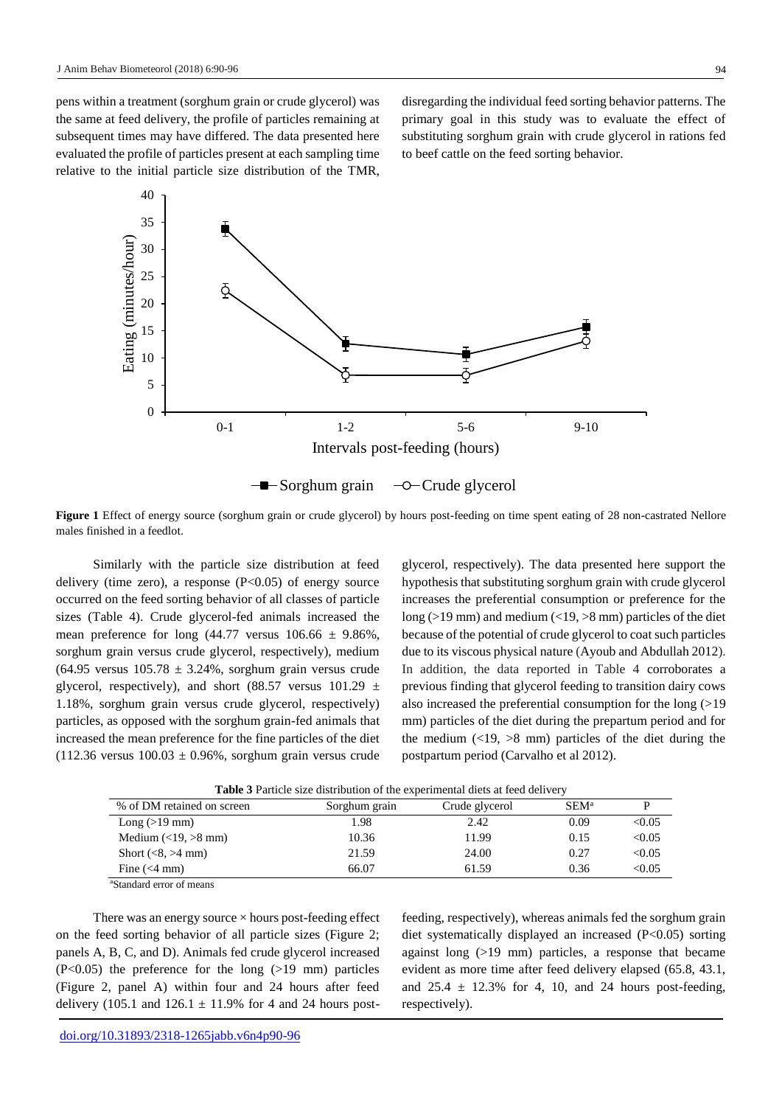pens within a treatment (sorghum grain or crude glycerol) was the same at feed delivery, the profile of particles remaining at subsequent times may have differed. The data presented here evaluated the profile of particles present at each sampling time relative to the initial particle size distribution of the TMR,

disregarding the individual feed sorting behavior patterns. The primary goal in this study was to evaluate the effect of substituting sorghum grain with crude glycerol in rations fed to beef cattle on the feed sorting behavior.



**Figure 1** Effect of energy source (sorghum grain or crude glycerol) by hours post-feeding on time spent eating of 28 non-castrated Nellore males finished in a feedlot.

Similarly with the particle size distribution at feed delivery (time zero), a response  $(P<0.05)$  of energy source occurred on the feed sorting behavior of all classes of particle sizes (Table 4). Crude glycerol-fed animals increased the mean preference for long  $(44.77 \text{ versus } 106.66 \pm 9.86\%$ , sorghum grain versus crude glycerol, respectively), medium  $(64.95$  versus  $105.78 \pm 3.24\%$ , sorghum grain versus crude glycerol, respectively), and short (88.57 versus  $101.29 \pm$ 1.18%, sorghum grain versus crude glycerol, respectively) particles, as opposed with the sorghum grain-fed animals that increased the mean preference for the fine particles of the diet  $(112.36 \text{ versus } 100.03 \pm 0.96\%$ , sorghum grain versus crude glycerol, respectively). The data presented here support the hypothesis that substituting sorghum grain with crude glycerol increases the preferential consumption or preference for the long ( $>19$  mm) and medium ( $<19, >8$  mm) particles of the diet because of the potential of crude glycerol to coat such particles due to its viscous physical nature (Ayoub and Abdullah 2012). In addition, the data reported in Table 4 corroborates a previous finding that glycerol feeding to transition dairy cows also increased the preferential consumption for the long (>19 mm) particles of the diet during the prepartum period and for the medium  $\left($  <19, >8 mm) particles of the diet during the postpartum period (Carvalho et al 2012).

| % of DM retained on screen                       | Sorghum grain | Crude glycerol | SEM <sup>a</sup> |        |
|--------------------------------------------------|---------------|----------------|------------------|--------|
| Long $(>19$ mm)                                  | 1.98          | 2.42           | 0.09             | < 0.05 |
| Medium $\left(\langle 19, \rangle 8 \right)$ mm) | 10.36         | 11.99          | 0.15             | < 0.05 |
| Short $(<8, >4$ mm)                              | 21.59         | 24.00          | 0.27             | < 0.05 |
| Fine $(< 4$ mm)                                  | 66.07         | 61.59          | 0.36             | < 0.05 |
| <sup>a</sup> Standard error of means             |               |                |                  |        |

**Table 3** Particle size distribution of the experimental diets at feed delivery

There was an energy source  $\times$  hours post-feeding effect on the feed sorting behavior of all particle sizes (Figure 2; panels A, B, C, and D). Animals fed crude glycerol increased (P<0.05) the preference for the long (>19 mm) particles (Figure 2, panel A) within four and 24 hours after feed delivery (105.1 and  $126.1 \pm 11.9\%$  for 4 and 24 hours postfeeding, respectively), whereas animals fed the sorghum grain diet systematically displayed an increased (P<0.05) sorting against long (>19 mm) particles, a response that became evident as more time after feed delivery elapsed (65.8, 43.1, and  $25.4 \pm 12.3\%$  for 4, 10, and 24 hours post-feeding, respectively).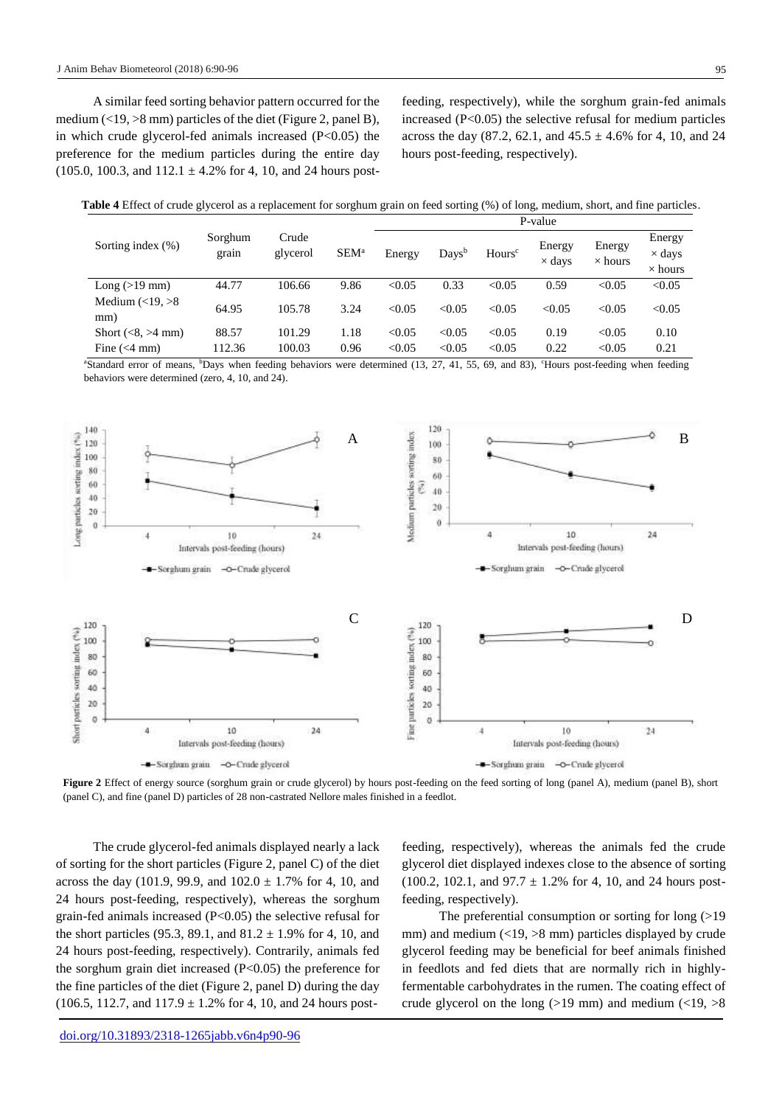A similar feed sorting behavior pattern occurred for the medium  $\left($  < 19,  $>$ 8 mm) particles of the diet (Figure 2, panel B), in which crude glycerol-fed animals increased  $(P<0.05)$  the preference for the medium particles during the entire day  $(105.0, 100.3, and 112.1 \pm 4.2\%$  for 4, 10, and 24 hours post-

feeding, respectively), while the sorghum grain-fed animals increased  $(P<0.05)$  the selective refusal for medium particles across the day  $(87.2, 62.1, 41.4, 45.5 \pm 4.6\%$  for 4, 10, and 24 hours post-feeding, respectively).

| Table 4 Effect of crude glycerol as a replacement for sorghum grain on feed sorting (%) of long, medium, short, and fine particles. |  |  |  |  |  |  |
|-------------------------------------------------------------------------------------------------------------------------------------|--|--|--|--|--|--|
|-------------------------------------------------------------------------------------------------------------------------------------|--|--|--|--|--|--|

|                                        |                  |                   |                  | P-value |                    |                    |                         |                          |                                           |  |  |  |
|----------------------------------------|------------------|-------------------|------------------|---------|--------------------|--------------------|-------------------------|--------------------------|-------------------------------------------|--|--|--|
| Sorting index $(\% )$                  | Sorghum<br>grain | Crude<br>glycerol | SEM <sup>a</sup> | Energy  | $_{\text{Days}^b}$ | Hours <sup>c</sup> | Energy<br>$\times$ days | Energy<br>$\times$ hours | Energy<br>$\times$ days<br>$\times$ hours |  |  |  |
| Long $(>19$ mm)                        | 44.77            | 106.66            | 9.86             | < 0.05  | 0.33               | < 0.05             | 0.59                    | < 0.05                   | < 0.05                                    |  |  |  |
| Medium $\left( <19, >8 \right)$<br>mm) | 64.95            | 105.78            | 3.24             | < 0.05  | < 0.05             | < 0.05             | < 0.05                  | < 0.05                   | < 0.05                                    |  |  |  |
| Short $(<8, >4$ mm)                    | 88.57            | 101.29            | 1.18             | < 0.05  | < 0.05             | < 0.05             | 0.19                    | < 0.05                   | 0.10                                      |  |  |  |
| Fine $(< 4$ mm)                        | 112.36           | 100.03            | 0.96             | < 0.05  | < 0.05             | < 0.05             | 0.22                    | < 0.05                   | 0.21                                      |  |  |  |

<sup>a</sup>Standard error of means, <sup>b</sup>Days when feeding behaviors were determined (13, 27, 41, 55, 69, and 83), <sup>c</sup>Hours post-feeding when feeding behaviors were determined (zero, 4, 10, and 24).



**Figure 2** Effect of energy source (sorghum grain or crude glycerol) by hours post-feeding on the feed sorting of long (panel A), medium (panel B), short (panel C), and fine (panel D) particles of 28 non-castrated Nellore males finished in a feedlot.

The crude glycerol-fed animals displayed nearly a lack of sorting for the short particles (Figure 2, panel C) of the diet across the day (101.9, 99.9, and  $102.0 \pm 1.7\%$  for 4, 10, and 24 hours post-feeding, respectively), whereas the sorghum grain-fed animals increased (P<0.05) the selective refusal for the short particles (95.3, 89.1, and  $81.2 \pm 1.9\%$  for 4, 10, and 24 hours post-feeding, respectively). Contrarily, animals fed the sorghum grain diet increased (P<0.05) the preference for the fine particles of the diet (Figure 2, panel D) during the day  $(106.5, 112.7, and 117.9 \pm 1.2\%$  for 4, 10, and 24 hours post-

feeding, respectively), whereas the animals fed the crude glycerol diet displayed indexes close to the absence of sorting  $(100.2, 102.1, and 97.7 \pm 1.2\%$  for 4, 10, and 24 hours postfeeding, respectively).

The preferential consumption or sorting for long (>19 mm) and medium  $\left($  <19, >8 mm) particles displayed by crude glycerol feeding may be beneficial for beef animals finished in feedlots and fed diets that are normally rich in highlyfermentable carbohydrates in the rumen. The coating effect of crude glycerol on the long ( $>19$  mm) and medium ( $<19$ ,  $>8$